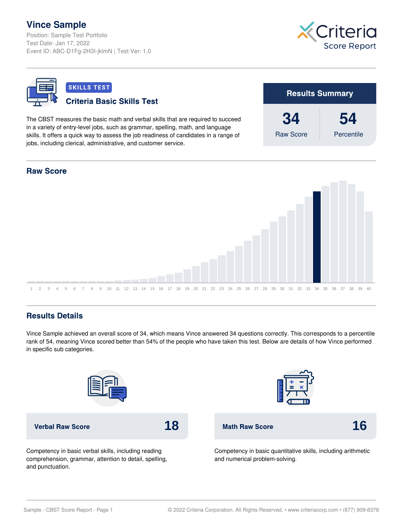## **Vince Sample**

Position: Sample Test Portfolio Test Date: Jan 17, 2022 Event ID: ABC-D1Fg-2H3I-jklmN | Test Ver: 1.0





## **Results Details**

Vince Sample achieved an overall score of 34, which means Vince answered 34 questions correctly. This corresponds to a percentile rank of 54, meaning Vince scored better than 54% of the people who have taken this test. Below are details of how Vince performed in specific sub categories.